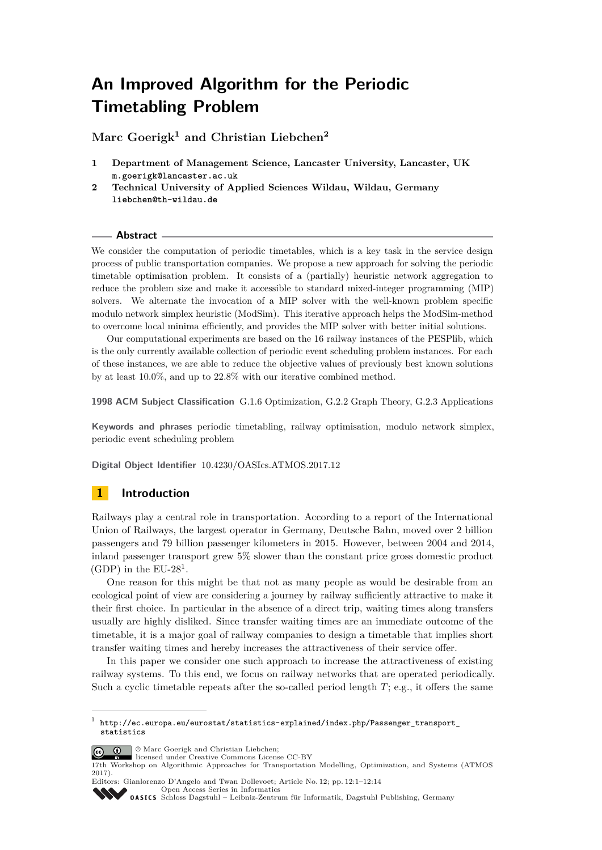# **An Improved Algorithm for the Periodic Timetabling Problem**

**Marc Goerigk<sup>1</sup> and Christian Liebchen<sup>2</sup>**

- **1 Department of Management Science, Lancaster University, Lancaster, UK m.goerigk@lancaster.ac.uk**
- **2 Technical University of Applied Sciences Wildau, Wildau, Germany liebchen@th-wildau.de**

#### **Abstract**

We consider the computation of periodic timetables, which is a key task in the service design process of public transportation companies. We propose a new approach for solving the periodic timetable optimisation problem. It consists of a (partially) heuristic network aggregation to reduce the problem size and make it accessible to standard mixed-integer programming (MIP) solvers. We alternate the invocation of a MIP solver with the well-known problem specific modulo network simplex heuristic (ModSim). This iterative approach helps the ModSim-method to overcome local minima efficiently, and provides the MIP solver with better initial solutions.

Our computational experiments are based on the 16 railway instances of the PESPlib, which is the only currently available collection of periodic event scheduling problem instances. For each of these instances, we are able to reduce the objective values of previously best known solutions by at least 10*.*0%, and up to 22*.*8% with our iterative combined method.

**1998 ACM Subject Classification** G.1.6 Optimization, G.2.2 Graph Theory, G.2.3 Applications

**Keywords and phrases** periodic timetabling, railway optimisation, modulo network simplex, periodic event scheduling problem

**Digital Object Identifier** [10.4230/OASIcs.ATMOS.2017.12](http://dx.doi.org/10.4230/OASIcs.ATMOS.2017.12)

## **1 Introduction**

Railways play a central role in transportation. According to a report of the International Union of Railways, the largest operator in Germany, Deutsche Bahn, moved over 2 billion passengers and 79 billion passenger kilometers in 2015. However, between 2004 and 2014, inland passenger transport grew 5% slower than the constant price gross domestic product  $(GDP)$  in the EU-28<sup>[1](#page-0-0)</sup>.

One reason for this might be that not as many people as would be desirable from an ecological point of view are considering a journey by railway sufficiently attractive to make it their first choice. In particular in the absence of a direct trip, waiting times along transfers usually are highly disliked. Since transfer waiting times are an immediate outcome of the timetable, it is a major goal of railway companies to design a timetable that implies short transfer waiting times and hereby increases the attractiveness of their service offer.

In this paper we consider one such approach to increase the attractiveness of existing railway systems. To this end, we focus on railway networks that are operated periodically. Such a cyclic timetable repeats after the so-called period length *T*; e.g., it offers the same

<span id="page-0-0"></span><sup>1</sup> [http://ec.europa.eu/eurostat/statistics-explained/index.php/Passenger\\_transport\\_](http://ec.europa.eu/eurostat/statistics-explained/index.php/Passenger_transport_statistics) [statistics](http://ec.europa.eu/eurostat/statistics-explained/index.php/Passenger_transport_statistics)



licensed under Creative Commons License CC-BY

Editors: Gianlorenzo D'Angelo and Twan Dollevoet; Article No. 12; pp. 12:1–12[:14](#page-13-0) [Open Access Series in Informatics](http://www.dagstuhl.de/oasics/)

OASICS [Schloss Dagstuhl – Leibniz-Zentrum für Informatik, Dagstuhl Publishing, Germany](http://www.dagstuhl.de)

<sup>17</sup>th Workshop on Algorithmic Approaches for Transportation Modelling, Optimization, and Systems (ATMOS 2017).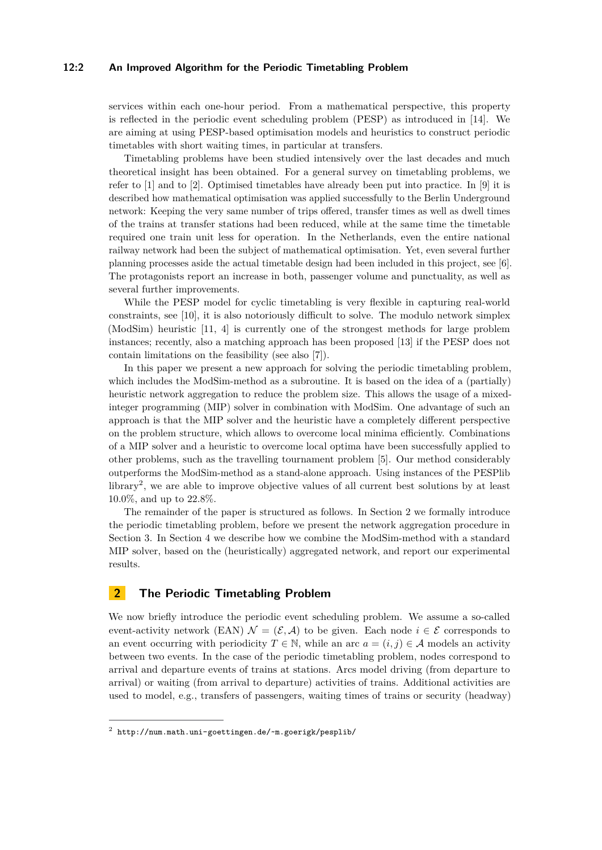#### **12:2 An Improved Algorithm for the Periodic Timetabling Problem**

services within each one-hour period. From a mathematical perspective, this property is reflected in the periodic event scheduling problem (PESP) as introduced in [\[14\]](#page-11-0). We are aiming at using PESP-based optimisation models and heuristics to construct periodic timetables with short waiting times, in particular at transfers.

Timetabling problems have been studied intensively over the last decades and much theoretical insight has been obtained. For a general survey on timetabling problems, we refer to [\[1\]](#page-10-0) and to [\[2\]](#page-10-1). Optimised timetables have already been put into practice. In [\[9\]](#page-10-2) it is described how mathematical optimisation was applied successfully to the Berlin Underground network: Keeping the very same number of trips offered, transfer times as well as dwell times of the trains at transfer stations had been reduced, while at the same time the timetable required one train unit less for operation. In the Netherlands, even the entire national railway network had been the subject of mathematical optimisation. Yet, even several further planning processes aside the actual timetable design had been included in this project, see [\[6\]](#page-10-3). The protagonists report an increase in both, passenger volume and punctuality, as well as several further improvements.

While the PESP model for cyclic timetabling is very flexible in capturing real-world constraints, see [\[10\]](#page-10-4), it is also notoriously difficult to solve. The modulo network simplex (ModSim) heuristic [\[11,](#page-10-5) [4\]](#page-10-6) is currently one of the strongest methods for large problem instances; recently, also a matching approach has been proposed [\[13\]](#page-11-1) if the PESP does not contain limitations on the feasibility (see also [\[7\]](#page-10-7)).

In this paper we present a new approach for solving the periodic timetabling problem, which includes the ModSim-method as a subroutine. It is based on the idea of a (partially) heuristic network aggregation to reduce the problem size. This allows the usage of a mixedinteger programming (MIP) solver in combination with ModSim. One advantage of such an approach is that the MIP solver and the heuristic have a completely different perspective on the problem structure, which allows to overcome local minima efficiently. Combinations of a MIP solver and a heuristic to overcome local optima have been successfully applied to other problems, such as the travelling tournament problem [\[5\]](#page-10-8). Our method considerably outperforms the ModSim-method as a stand-alone approach. Using instances of the PESPlib library[2](#page-1-0) , we are able to improve objective values of all current best solutions by at least 10*.*0%, and up to 22*.*8%.

The remainder of the paper is structured as follows. In Section [2](#page-1-1) we formally introduce the periodic timetabling problem, before we present the network aggregation procedure in Section [3.](#page-3-0) In Section [4](#page-6-0) we describe how we combine the ModSim-method with a standard MIP solver, based on the (heuristically) aggregated network, and report our experimental results.

## <span id="page-1-1"></span>**2 The Periodic Timetabling Problem**

We now briefly introduce the periodic event scheduling problem. We assume a so-called event-activity network (EAN)  $\mathcal{N} = (\mathcal{E}, \mathcal{A})$  to be given. Each node  $i \in \mathcal{E}$  corresponds to an event occurring with periodicity  $T \in \mathbb{N}$ , while an arc  $a = (i, j) \in \mathcal{A}$  models an activity between two events. In the case of the periodic timetabling problem, nodes correspond to arrival and departure events of trains at stations. Arcs model driving (from departure to arrival) or waiting (from arrival to departure) activities of trains. Additional activities are used to model, e.g., transfers of passengers, waiting times of trains or security (headway)

<span id="page-1-0"></span> $^2$  <http://num.math.uni-goettingen.de/~m.goerigk/pesplib/>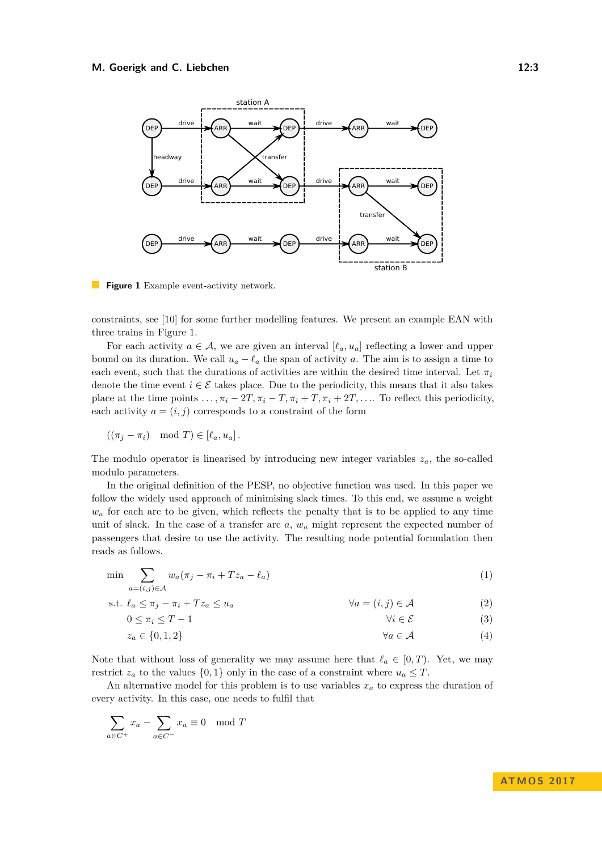#### <span id="page-2-0"></span>**M. Goerigk and C. Liebchen** 12:3



**Figure 1** Example event-activity network.

constraints, see [\[10\]](#page-10-4) for some further modelling features. We present an example EAN with three trains in Figure [1.](#page-2-0)

For each activity  $a \in \mathcal{A}$ , we are given an interval  $[\ell_a, u_a]$  reflecting a lower and upper bound on its duration. We call  $u_a - \ell_a$  the span of activity *a*. The aim is to assign a time to each event, such that the durations of activities are within the desired time interval. Let  $\pi_i$ denote the time event  $i \in \mathcal{E}$  takes place. Due to the periodicity, this means that it also takes place at the time points  $\ldots$ ,  $\pi_i - 2T$ ,  $\pi_i - T$ ,  $\pi_i + T$ ,  $\pi_i + 2T$ ,  $\ldots$ . To reflect this periodicity, each activity  $a = (i, j)$  corresponds to a constraint of the form

$$
((\pi_j - \pi_i) \mod T) \in [\ell_a, u_a].
$$

The modulo operator is linearised by introducing new integer variables  $z_a$ , the so-called modulo parameters.

In the original definition of the PESP, no objective function was used. In this paper we follow the widely used approach of minimising slack times. To this end, we assume a weight  $w_a$  for each arc to be given, which reflects the penalty that is to be applied to any time unit of slack. In the case of a transfer arc *a*, *w<sup>a</sup>* might represent the expected number of passengers that desire to use the activity. The resulting node potential formulation then reads as follows.

$$
\min \sum_{a=(i,j)\in\mathcal{A}} w_a(\pi_j - \pi_i + Tz_a - \ell_a) \tag{1}
$$

s.t. *`<sup>a</sup>* ≤ *π<sup>j</sup>* − *π<sup>i</sup>* + *T z<sup>a</sup>* ≤ *u<sup>a</sup>* ∀*a* = (*i, j*) ∈ A (2)

$$
0 \le \pi_i \le T - 1 \tag{3}
$$

$$
z_a \in \{0, 1, 2\} \qquad \qquad \forall a \in \mathcal{A} \tag{4}
$$

Note that without loss of generality we may assume here that  $\ell_a \in [0, T)$ . Yet, we may restrict  $z_a$  to the values  $\{0,1\}$  only in the case of a constraint where  $u_a \leq T$ .

An alternative model for this problem is to use variables *x<sup>a</sup>* to express the duration of every activity. In this case, one needs to fulfil that

$$
\sum_{a \in C^{+}} x_{a} - \sum_{a \in C^{-}} x_{a} \equiv 0 \mod T
$$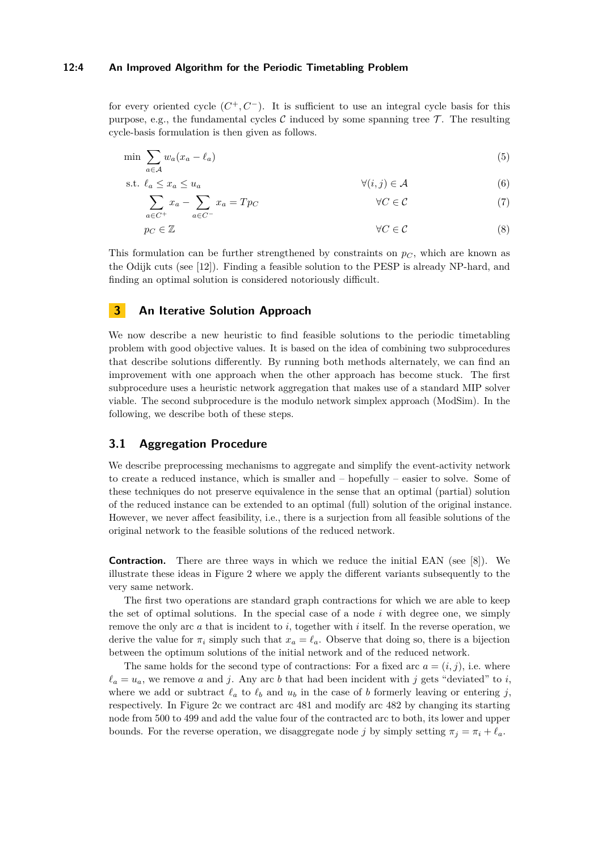#### **12:4 An Improved Algorithm for the Periodic Timetabling Problem**

for every oriented cycle  $(C^+, C^-)$ . It is sufficient to use an integral cycle basis for this purpose, e.g., the fundamental cycles C induced by some spanning tree  $\mathcal T$ . The resulting cycle-basis formulation is then given as follows.

$$
\min \sum_{a \in \mathcal{A}} w_a (x_a - \ell_a) \tag{5}
$$

$$
\text{s.t. } \ell_a \le x_a \le u_a \qquad \qquad \forall (i, j) \in \mathcal{A} \tag{6}
$$

$$
\sum_{a \in C^{+}} x_a - \sum_{a \in C^{-}} x_a = Tp_C \qquad \forall C \in \mathcal{C}
$$
\n(7)

$$
p_C \in \mathbb{Z} \qquad (8)
$$

This formulation can be further strengthened by constraints on  $p_C$ , which are known as the Odijk cuts (see [\[12\]](#page-10-9)). Finding a feasible solution to the PESP is already NP-hard, and finding an optimal solution is considered notoriously difficult.

## <span id="page-3-0"></span>**3 An Iterative Solution Approach**

We now describe a new heuristic to find feasible solutions to the periodic timetabling problem with good objective values. It is based on the idea of combining two subprocedures that describe solutions differently. By running both methods alternately, we can find an improvement with one approach when the other approach has become stuck. The first subprocedure uses a heuristic network aggregation that makes use of a standard MIP solver viable. The second subprocedure is the modulo network simplex approach (ModSim). In the following, we describe both of these steps.

## **3.1 Aggregation Procedure**

We describe preprocessing mechanisms to aggregate and simplify the event-activity network to create a reduced instance, which is smaller and – hopefully – easier to solve. Some of these techniques do not preserve equivalence in the sense that an optimal (partial) solution of the reduced instance can be extended to an optimal (full) solution of the original instance. However, we never affect feasibility, i.e., there is a surjection from all feasible solutions of the original network to the feasible solutions of the reduced network.

**Contraction.** There are three ways in which we reduce the initial EAN (see [\[8\]](#page-10-10)). We illustrate these ideas in Figure [2](#page-4-0) where we apply the different variants subsequently to the very same network.

The first two operations are standard graph contractions for which we are able to keep the set of optimal solutions. In the special case of a node *i* with degree one, we simply remove the only arc *a* that is incident to *i*, together with *i* itself. In the reverse operation, we derive the value for  $\pi_i$  simply such that  $x_a = \ell_a$ . Observe that doing so, there is a bijection between the optimum solutions of the initial network and of the reduced network.

The same holds for the second type of contractions: For a fixed arc  $a = (i, j)$ , i.e. where  $\ell_a = u_a$ , we remove *a* and *j*. Any arc *b* that had been incident with *j* gets "deviated" to *i*, where we add or subtract  $\ell_a$  to  $\ell_b$  and  $u_b$  in the case of *b* formerly leaving or entering *j*, respectively. In Figure [2c](#page-4-0) we contract arc 481 and modify arc 482 by changing its starting node from 500 to 499 and add the value four of the contracted arc to both, its lower and upper bounds. For the reverse operation, we disaggregate node *j* by simply setting  $\pi_j = \pi_i + \ell_a$ .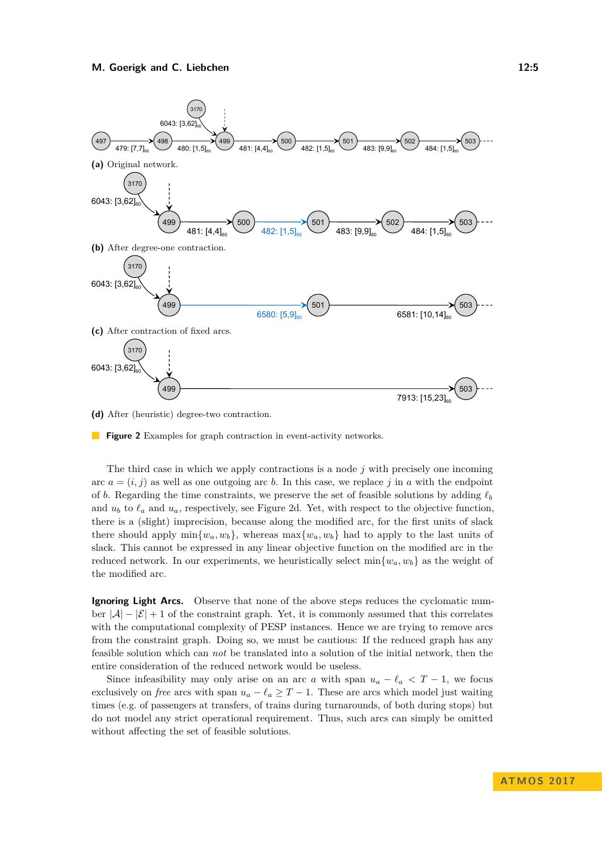<span id="page-4-0"></span>

**(d)** After (heuristic) degree-two contraction.

**Figure 2** Examples for graph contraction in event-activity networks.

The third case in which we apply contractions is a node *j* with precisely one incoming arc  $a = (i, j)$  as well as one outgoing arc *b*. In this case, we replace *j* in *a* with the endpoint of *b*. Regarding the time constraints, we preserve the set of feasible solutions by adding  $\ell_b$ and  $u_b$  to  $\ell_a$  and  $u_a$ , respectively, see Figure [2d.](#page-4-0) Yet, with respect to the objective function, there is a (slight) imprecision, because along the modified arc, for the first units of slack there should apply  $\min\{w_a, w_b\}$ , whereas  $\max\{w_a, w_b\}$  had to apply to the last units of slack. This cannot be expressed in any linear objective function on the modified arc in the reduced network. In our experiments, we heuristically select  $\min\{w_a, w_b\}$  as the weight of the modified arc.

**Ignoring Light Arcs.** Observe that none of the above steps reduces the cyclomatic number  $|\mathcal{A}| - |\mathcal{E}| + 1$  of the constraint graph. Yet, it is commonly assumed that this correlates with the computational complexity of PESP instances. Hence we are trying to remove arcs from the constraint graph. Doing so, we must be cautious: If the reduced graph has any feasible solution which can *not* be translated into a solution of the initial network, then the entire consideration of the reduced network would be useless.

Since infeasibility may only arise on an arc *a* with span  $u_a - \ell_a < T - 1$ , we focus exclusively on *free* arcs with span  $u_a - \ell_a \geq T - 1$ . These arcs which model just waiting times (e.g. of passengers at transfers, of trains during turnarounds, of both during stops) but do not model any strict operational requirement. Thus, such arcs can simply be omitted without affecting the set of feasible solutions.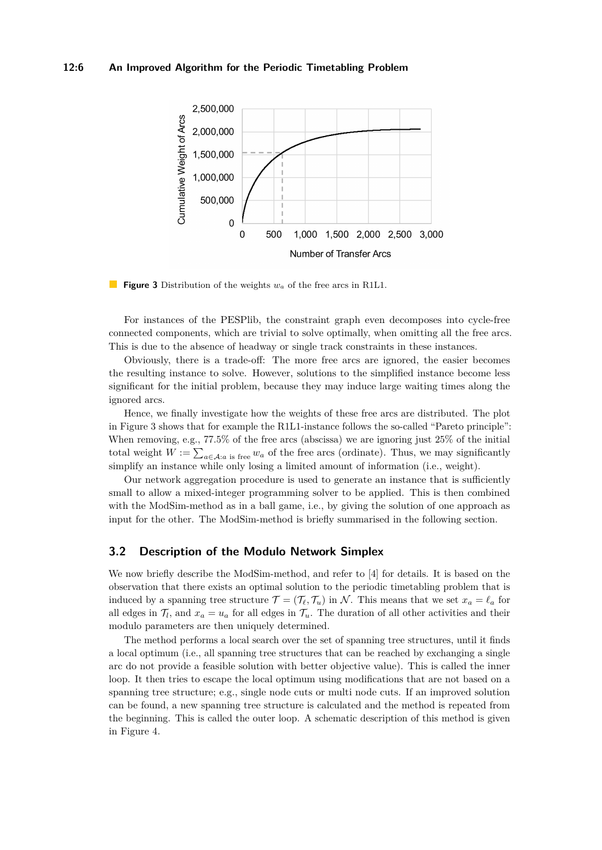## **12:6 An Improved Algorithm for the Periodic Timetabling Problem**

<span id="page-5-0"></span>

**Figure 3** Distribution of the weights *w<sup>a</sup>* of the free arcs in R1L1.

For instances of the PESPlib, the constraint graph even decomposes into cycle-free connected components, which are trivial to solve optimally, when omitting all the free arcs. This is due to the absence of headway or single track constraints in these instances.

Obviously, there is a trade-off: The more free arcs are ignored, the easier becomes the resulting instance to solve. However, solutions to the simplified instance become less significant for the initial problem, because they may induce large waiting times along the ignored arcs.

Hence, we finally investigate how the weights of these free arcs are distributed. The plot in Figure [3](#page-5-0) shows that for example the R1L1-instance follows the so-called "Pareto principle": When removing, e.g., 77*.*5% of the free arcs (abscissa) we are ignoring just 25% of the initial total weight  $W := \sum_{a \in A: a \text{ is free}} w_a$  of the free arcs (ordinate). Thus, we may significantly simplify an instance while only losing a limited amount of information (i.e., weight).

Our network aggregation procedure is used to generate an instance that is sufficiently small to allow a mixed-integer programming solver to be applied. This is then combined with the ModSim-method as in a ball game, i.e., by giving the solution of one approach as input for the other. The ModSim-method is briefly summarised in the following section.

## **3.2 Description of the Modulo Network Simplex**

We now briefly describe the ModSim-method, and refer to [\[4\]](#page-10-6) for details. It is based on the observation that there exists an optimal solution to the periodic timetabling problem that is induced by a spanning tree structure  $\mathcal{T} = (\mathcal{T}_\ell, \mathcal{T}_u)$  in N. This means that we set  $x_a = \ell_a$  for all edges in  $\mathcal{T}_l$ , and  $x_a = u_a$  for all edges in  $\mathcal{T}_u$ . The duration of all other activities and their modulo parameters are then uniquely determined.

The method performs a local search over the set of spanning tree structures, until it finds a local optimum (i.e., all spanning tree structures that can be reached by exchanging a single arc do not provide a feasible solution with better objective value). This is called the inner loop. It then tries to escape the local optimum using modifications that are not based on a spanning tree structure; e.g., single node cuts or multi node cuts. If an improved solution can be found, a new spanning tree structure is calculated and the method is repeated from the beginning. This is called the outer loop. A schematic description of this method is given in Figure [4.](#page-6-1)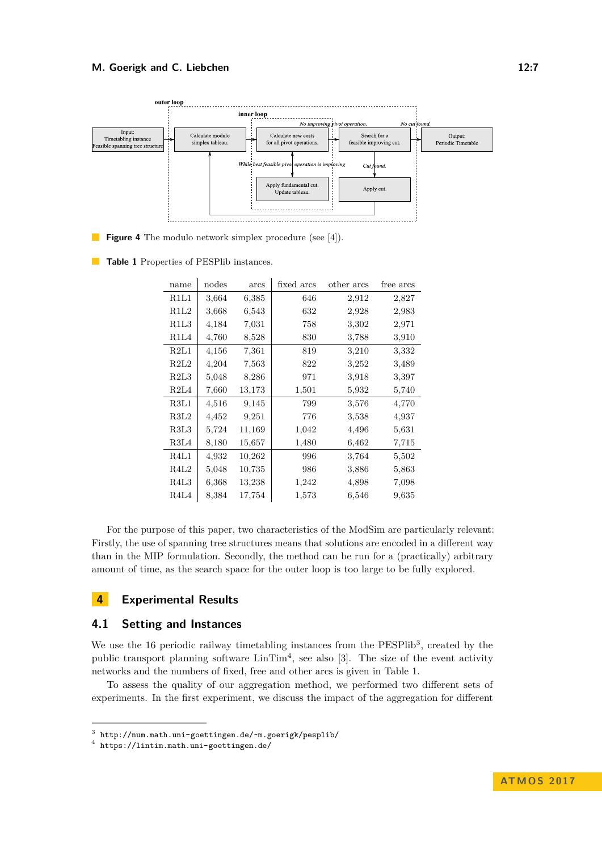<span id="page-6-1"></span>

**Figure 4** The modulo network simplex procedure (see [\[4\]](#page-10-6)).

<span id="page-6-4"></span>**Table 1** Properties of PESPlib instances.

| name                          | nodes | arcs       | fixed arcs | other arcs | free arcs |
|-------------------------------|-------|------------|------------|------------|-----------|
| R1L1                          | 3,664 | 6,385      | 646        | 2,912      | 2,827     |
| R1L2                          | 3,668 | 6,543      | 632        | 2,928      | 2,983     |
| R1L3                          | 4,184 | 7,031      | 758        | 3,302      | 2,971     |
| R1L4                          | 4,760 | 8,528      | 830        | 3,788      | 3,910     |
| R2L1                          | 4,156 | 7,361      | 819        | 3,210      | 3,332     |
| R2L2                          | 4,204 | 7,563      | 822        | 3,252      | 3,489     |
| R2L3                          | 5,048 | 8,286      | 971        | 3,918      | 3,397     |
| R2L4                          | 7,660 | 13,173     | 1,501      | 5,932      | 5,740     |
| R3L1                          | 4,516 | 9,145      | 799        | 3,576      | 4,770     |
| R3L2                          | 4,452 | 9,251      | 776        | 3,538      | 4,937     |
| R3L3                          | 5,724 | 11,169     | 1,042      | 4,496      | 5,631     |
| R3L4                          | 8,180 | $15{,}657$ | 1,480      | 6,462      | 7,715     |
| R4L1                          | 4,932 | 10,262     | 996        | 3,764      | 5,502     |
| R4L2                          | 5,048 | 10,735     | 986        | 3,886      | 5,863     |
| R <sub>4</sub> L <sub>3</sub> | 6,368 | 13,238     | 1,242      | 4,898      | 7,098     |
| R4L4                          | 8,384 | 17,754     | 1,573      | 6,546      | 9,635     |

For the purpose of this paper, two characteristics of the ModSim are particularly relevant: Firstly, the use of spanning tree structures means that solutions are encoded in a different way than in the MIP formulation. Secondly, the method can be run for a (practically) arbitrary amount of time, as the search space for the outer loop is too large to be fully explored.

## <span id="page-6-0"></span>**4 Experimental Results**

## **4.1 Setting and Instances**

We use the  $16$  periodic railway timetabling instances from the PESPlib<sup>[3](#page-6-2)</sup>, created by the public transport planning software  $\text{LinTim}^4$  $\text{LinTim}^4$ , see also [\[3\]](#page-10-11). The size of the event activity networks and the numbers of fixed, free and other arcs is given in Table [1.](#page-6-4)

To assess the quality of our aggregation method, we performed two different sets of experiments. In the first experiment, we discuss the impact of the aggregation for different

<span id="page-6-2"></span><sup>3</sup> <http://num.math.uni-goettingen.de/~m.goerigk/pesplib/>

<span id="page-6-3"></span><sup>4</sup> <https://lintim.math.uni-goettingen.de/>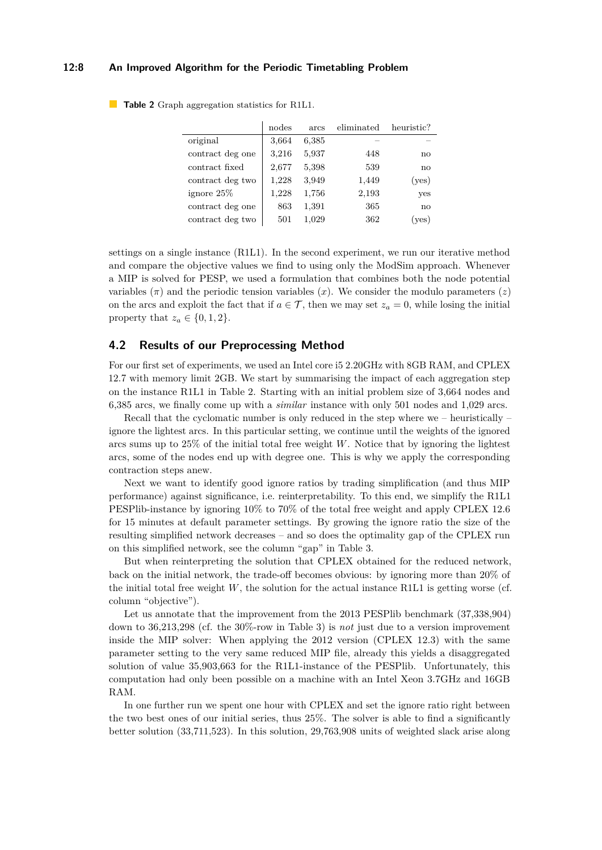#### **12:8 An Improved Algorithm for the Periodic Timetabling Problem**

|                  | nodes | arcs  | eliminated | heuristic?   |
|------------------|-------|-------|------------|--------------|
| original         | 3,664 | 6,385 |            |              |
| contract deg one | 3,216 | 5,937 | 448        | no           |
| contract fixed   | 2,677 | 5,398 | 539        | $\mathbf{n}$ |
| contract deg two | 1,228 | 3,949 | 1,449      | (yes)        |
| ignore $25\%$    | 1,228 | 1,756 | 2,193      | yes          |
| contract deg one | 863   | 1,391 | 365        | $\mathbf{n}$ |
| contract deg two | 501   | 1,029 | 362        | yes)         |

<span id="page-7-0"></span>**Table 2** Graph aggregation statistics for R1L1.

settings on a single instance (R1L1). In the second experiment, we run our iterative method and compare the objective values we find to using only the ModSim approach. Whenever a MIP is solved for PESP, we used a formulation that combines both the node potential variables  $(\pi)$  and the periodic tension variables  $(x)$ . We consider the modulo parameters  $(z)$ on the arcs and exploit the fact that if  $a \in \mathcal{T}$ , then we may set  $z_a = 0$ , while losing the initial property that  $z_a \in \{0, 1, 2\}.$ 

## **4.2 Results of our Preprocessing Method**

For our first set of experiments, we used an Intel core i5 2.20GHz with 8GB RAM, and CPLEX 12.7 with memory limit 2GB. We start by summarising the impact of each aggregation step on the instance R1L1 in Table [2.](#page-7-0) Starting with an initial problem size of 3,664 nodes and 6,385 arcs, we finally come up with a *similar* instance with only 501 nodes and 1,029 arcs.

Recall that the cyclomatic number is only reduced in the step where we – heuristically – ignore the lightest arcs. In this particular setting, we continue until the weights of the ignored arcs sums up to 25% of the initial total free weight *W*. Notice that by ignoring the lightest arcs, some of the nodes end up with degree one. This is why we apply the corresponding contraction steps anew.

Next we want to identify good ignore ratios by trading simplification (and thus MIP performance) against significance, i.e. reinterpretability. To this end, we simplify the R1L1 PESPlib-instance by ignoring 10% to 70% of the total free weight and apply CPLEX 12.6 for 15 minutes at default parameter settings. By growing the ignore ratio the size of the resulting simplified network decreases – and so does the optimality gap of the CPLEX run on this simplified network, see the column "gap" in Table [3.](#page-8-0)

But when reinterpreting the solution that CPLEX obtained for the reduced network, back on the initial network, the trade-off becomes obvious: by ignoring more than 20% of the initial total free weight *W*, the solution for the actual instance R1L1 is getting worse (cf. column "objective").

Let us annotate that the improvement from the 2013 PESPlib benchmark  $(37,338,904)$ down to 36,213,298 (cf. the 30%-row in Table [3\)](#page-8-0) is *not* just due to a version improvement inside the MIP solver: When applying the 2012 version (CPLEX 12.3) with the same parameter setting to the very same reduced MIP file, already this yields a disaggregated solution of value 35,903,663 for the R1L1-instance of the PESPlib. Unfortunately, this computation had only been possible on a machine with an Intel Xeon 3.7GHz and 16GB RAM.

In one further run we spent one hour with CPLEX and set the ignore ratio right between the two best ones of our initial series, thus 25%. The solver is able to find a significantly better solution (33,711,523). In this solution, 29,763,908 units of weighted slack arise along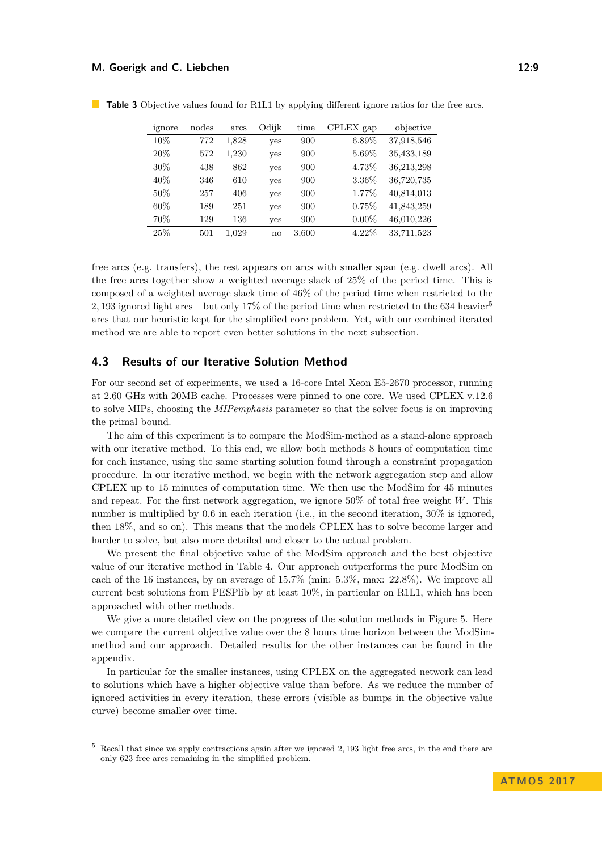#### **M. Goerigk and C. Liebchen** 12:9

| ignore | nodes | arcs  | Odijk      | time  | CPLEX gap | objective  |
|--------|-------|-------|------------|-------|-----------|------------|
| 10%    | 772   | 1,828 | yes        | 900   | $6.89\%$  | 37,918,546 |
| 20%    | 572   | 1,230 | yes        | 900   | 5.69%     | 35,433,189 |
| 30%    | 438   | 862   | yes        | 900   | 4.73%     | 36,213,298 |
| 40%    | 346   | 610   | <b>ves</b> | 900   | 3.36%     | 36,720,735 |
| 50%    | 257   | 406   | yes        | 900   | 1.77%     | 40,814,013 |
| 60%    | 189   | 251   | yes        | 900   | 0.75%     | 41,843,259 |
| 70%    | 129   | 136   | yes        | 900   | $0.00\%$  | 46,010,226 |
| 25%    | 501   | 1.029 | no         | 3,600 | $4.22\%$  | 33,711,523 |

<span id="page-8-0"></span>**Table 3** Objective values found for R1L1 by applying different ignore ratios for the free arcs.

free arcs (e.g. transfers), the rest appears on arcs with smaller span (e.g. dwell arcs). All the free arcs together show a weighted average slack of 25% of the period time. This is composed of a weighted average slack time of 46% of the period time when restricted to the 2*,* 193 ignored light arcs – but only 17% of the period time when restricted to the 634 heavier[5](#page-8-1) arcs that our heuristic kept for the simplified core problem. Yet, with our combined iterated method we are able to report even better solutions in the next subsection.

#### **4.3 Results of our Iterative Solution Method**

For our second set of experiments, we used a 16-core Intel Xeon E5-2670 processor, running at 2.60 GHz with 20MB cache. Processes were pinned to one core. We used CPLEX v.12.6 to solve MIPs, choosing the *MIPemphasis* parameter so that the solver focus is on improving the primal bound.

The aim of this experiment is to compare the ModSim-method as a stand-alone approach with our iterative method. To this end, we allow both methods 8 hours of computation time for each instance, using the same starting solution found through a constraint propagation procedure. In our iterative method, we begin with the network aggregation step and allow CPLEX up to 15 minutes of computation time. We then use the ModSim for 45 minutes and repeat. For the first network aggregation, we ignore 50% of total free weight *W*. This number is multiplied by 0.6 in each iteration (i.e., in the second iteration,  $30\%$  is ignored, then 18%, and so on). This means that the models CPLEX has to solve become larger and harder to solve, but also more detailed and closer to the actual problem.

We present the final objective value of the ModSim approach and the best objective value of our iterative method in Table [4.](#page-9-0) Our approach outperforms the pure ModSim on each of the 16 instances, by an average of 15*.*7% (min: 5*.*3%, max: 22*.*8%). We improve all current best solutions from PESPlib by at least 10%, in particular on R1L1, which has been approached with other methods.

We give a more detailed view on the progress of the solution methods in Figure [5.](#page-9-1) Here we compare the current objective value over the 8 hours time horizon between the ModSimmethod and our approach. Detailed results for the other instances can be found in the appendix.

In particular for the smaller instances, using CPLEX on the aggregated network can lead to solutions which have a higher objective value than before. As we reduce the number of ignored activities in every iteration, these errors (visible as bumps in the objective value curve) become smaller over time.

<span id="page-8-1"></span><sup>5</sup> Recall that since we apply contractions again after we ignored 2*,* 193 light free arcs, in the end there are only 623 free arcs remaining in the simplified problem.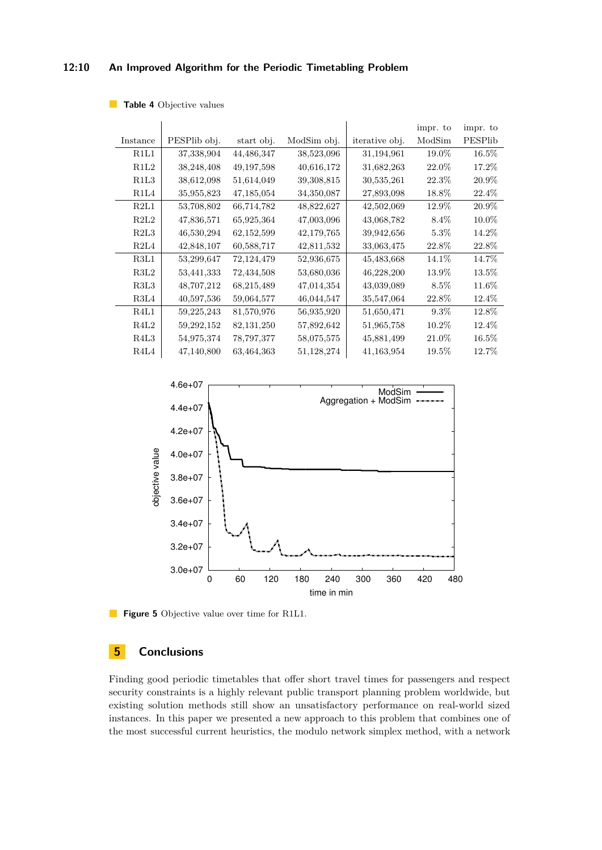## **12:10 An Improved Algorithm for the Periodic Timetabling Problem**

<span id="page-9-0"></span>**Table 4** Objective values

|          |              |              |             |                | impr. to | impr. to |
|----------|--------------|--------------|-------------|----------------|----------|----------|
| Instance | PESPlib obj. | start obj.   | ModSim obj. | iterative obj. | ModSim   | PESPlib  |
| R1L1     | 37,338,904   | 44,486,347   | 38,523,096  | 31,194,961     | 19.0%    | 16.5%    |
| R1L2     | 38,248,408   | 49, 197, 598 | 40,616,172  | 31,682,263     | 22.0%    | 17.2%    |
| R1L3     | 38,612,098   | 51,614,049   | 39,308,815  | 30,535,261     | 22.3%    | 20.9%    |
| R1L4     | 35,955,823   | 47,185,054   | 34,350,087  | 27,893,098     | 18.8%    | 22.4\%   |
| R2L1     | 53,708,802   | 66,714,782   | 48,822,627  | 42,502,069     | 12.9%    | 20.9%    |
| R2L2     | 47,836,571   | 65,925,364   | 47,003,096  | 43,068,782     | $8.4\%$  | 10.0%    |
| R2L3     | 46,530,294   | 62,152,599   | 42,179,765  | 39,942,656     | $5.3\%$  | 14.2%    |
| R2L4     | 42,848,107   | 60,588,717   | 42,811,532  | 33,063,475     | 22.8%    | 22.8%    |
| R3L1     | 53,299,647   | 72,124,479   | 52,936,675  | 45,483,668     | 14.1\%   | 14.7%    |
| R3L2     | 53,441,333   | 72,434,508   | 53,680,036  | 46,228,200     | 13.9%    | 13.5%    |
| R3L3     | 48,707,212   | 68,215,489   | 47,014,354  | 43,039,089     | $8.5\%$  | 11.6%    |
| R3L4     | 40,597,536   | 59,064,577   | 46,044,547  | 35,547,064     | 22.8%    | 12.4\%   |
| R4L1     | 59,225,243   | 81,570,976   | 56,935,920  | 51,650,471     | $9.3\%$  | 12.8%    |
| R4L2     | 59,292,152   | 82,131,250   | 57,892,642  | 51,965,758     | $10.2\%$ | 12.4%    |
| R4L3     | 54,975,374   | 78,797,377   | 58,075,575  | 45,881,499     | 21.0%    | $16.5\%$ |
| R4L4     | 47,140,800   | 63,464,363   | 51,128,274  | 41,163,954     | 19.5%    | 12.7%    |

<span id="page-9-1"></span>

**Figure 5** Objective value over time for R1L1.

# **5 Conclusions**

Finding good periodic timetables that offer short travel times for passengers and respect security constraints is a highly relevant public transport planning problem worldwide, but existing solution methods still show an unsatisfactory performance on real-world sized instances. In this paper we presented a new approach to this problem that combines one of the most successful current heuristics, the modulo network simplex method, with a network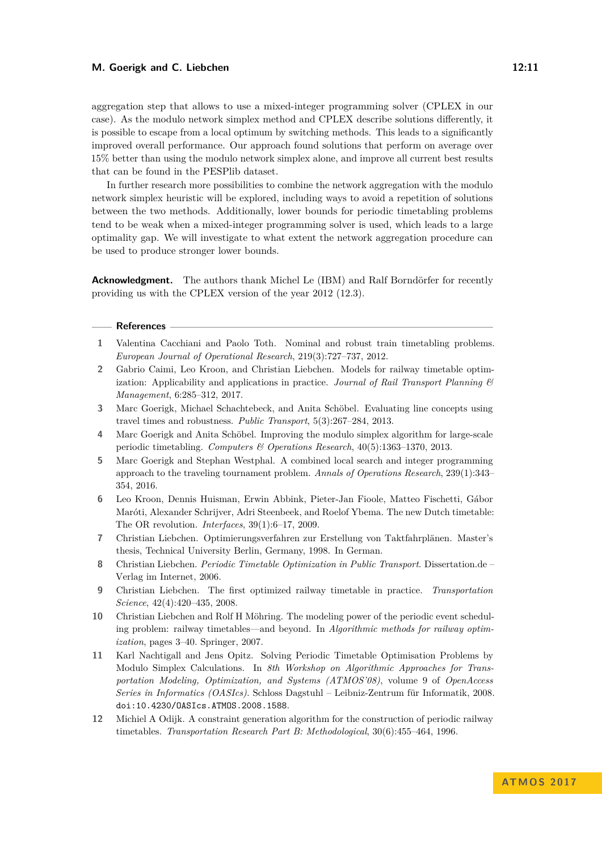#### **M. Goerigk and C. Liebchen** 12:11

aggregation step that allows to use a mixed-integer programming solver (CPLEX in our case). As the modulo network simplex method and CPLEX describe solutions differently, it is possible to escape from a local optimum by switching methods. This leads to a significantly improved overall performance. Our approach found solutions that perform on average over 15% better than using the modulo network simplex alone, and improve all current best results that can be found in the PESPlib dataset.

In further research more possibilities to combine the network aggregation with the modulo network simplex heuristic will be explored, including ways to avoid a repetition of solutions between the two methods. Additionally, lower bounds for periodic timetabling problems tend to be weak when a mixed-integer programming solver is used, which leads to a large optimality gap. We will investigate to what extent the network aggregation procedure can be used to produce stronger lower bounds.

**Acknowledgment.** The authors thank Michel Le (IBM) and Ralf Borndörfer for recently providing us with the CPLEX version of the year 2012 (12.3).

#### **References**

- <span id="page-10-0"></span>**1** Valentina Cacchiani and Paolo Toth. Nominal and robust train timetabling problems. *European Journal of Operational Research*, 219(3):727–737, 2012.
- <span id="page-10-1"></span>**2** Gabrio Caimi, Leo Kroon, and Christian Liebchen. Models for railway timetable optimization: Applicability and applications in practice. *Journal of Rail Transport Planning & Management*, 6:285–312, 2017.
- <span id="page-10-11"></span>**3** Marc Goerigk, Michael Schachtebeck, and Anita Schöbel. Evaluating line concepts using travel times and robustness. *Public Transport*, 5(3):267–284, 2013.
- <span id="page-10-6"></span>**4** Marc Goerigk and Anita Schöbel. Improving the modulo simplex algorithm for large-scale periodic timetabling. *Computers & Operations Research*, 40(5):1363–1370, 2013.
- <span id="page-10-8"></span>**5** Marc Goerigk and Stephan Westphal. A combined local search and integer programming approach to the traveling tournament problem. *Annals of Operations Research*, 239(1):343– 354, 2016.
- <span id="page-10-3"></span>**6** Leo Kroon, Dennis Huisman, Erwin Abbink, Pieter-Jan Fioole, Matteo Fischetti, Gábor Maróti, Alexander Schrijver, Adri Steenbeek, and Roelof Ybema. The new Dutch timetable: The OR revolution. *Interfaces*, 39(1):6–17, 2009.
- <span id="page-10-7"></span>**7** Christian Liebchen. Optimierungsverfahren zur Erstellung von Taktfahrplänen. Master's thesis, Technical University Berlin, Germany, 1998. In German.
- <span id="page-10-10"></span>**8** Christian Liebchen. *Periodic Timetable Optimization in Public Transport*. Dissertation.de – Verlag im Internet, 2006.
- <span id="page-10-2"></span>**9** Christian Liebchen. The first optimized railway timetable in practice. *Transportation Science*, 42(4):420–435, 2008.
- <span id="page-10-4"></span>**10** Christian Liebchen and Rolf H Möhring. The modeling power of the periodic event scheduling problem: railway timetables—and beyond. In *Algorithmic methods for railway optimization*, pages 3–40. Springer, 2007.
- <span id="page-10-5"></span>**11** Karl Nachtigall and Jens Opitz. Solving Periodic Timetable Optimisation Problems by Modulo Simplex Calculations. In *8th Workshop on Algorithmic Approaches for Transportation Modeling, Optimization, and Systems (ATMOS'08)*, volume 9 of *OpenAccess Series in Informatics (OASIcs)*. Schloss Dagstuhl – Leibniz-Zentrum für Informatik, 2008. [doi:10.4230/OASIcs.ATMOS.2008.1588](http://dx.doi.org/10.4230/OASIcs.ATMOS.2008.1588).
- <span id="page-10-9"></span>**12** Michiel A Odijk. A constraint generation algorithm for the construction of periodic railway timetables. *Transportation Research Part B: Methodological*, 30(6):455–464, 1996.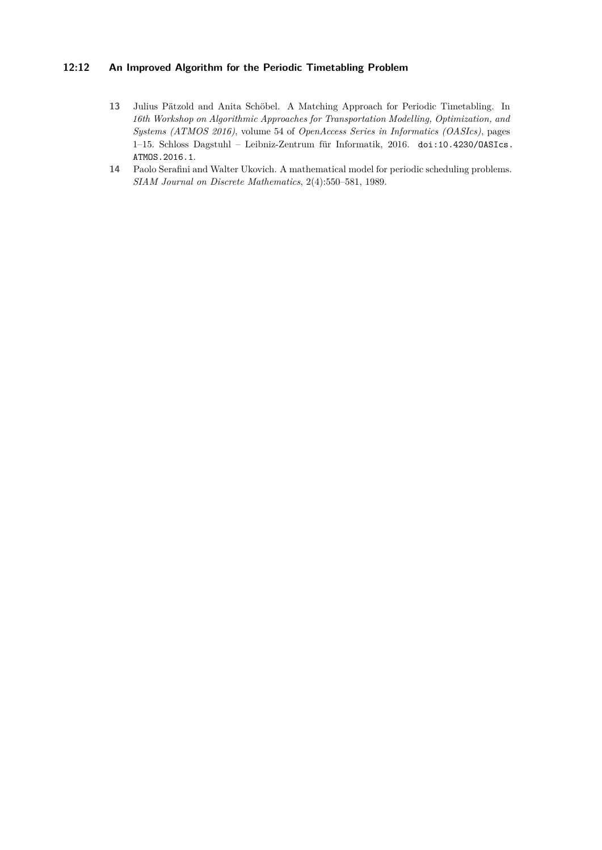## **12:12 An Improved Algorithm for the Periodic Timetabling Problem**

- <span id="page-11-1"></span>**13** Julius Pätzold and Anita Schöbel. A Matching Approach for Periodic Timetabling. In *16th Workshop on Algorithmic Approaches for Transportation Modelling, Optimization, and Systems (ATMOS 2016)*, volume 54 of *OpenAccess Series in Informatics (OASIcs)*, pages 1–15. Schloss Dagstuhl – Leibniz-Zentrum für Informatik, 2016. [doi:10.4230/OASIcs.](http://dx.doi.org/10.4230/OASIcs.ATMOS.2016.1) [ATMOS.2016.1](http://dx.doi.org/10.4230/OASIcs.ATMOS.2016.1).
- <span id="page-11-0"></span>**14** Paolo Serafini and Walter Ukovich. A mathematical model for periodic scheduling problems. *SIAM Journal on Discrete Mathematics*, 2(4):550–581, 1989.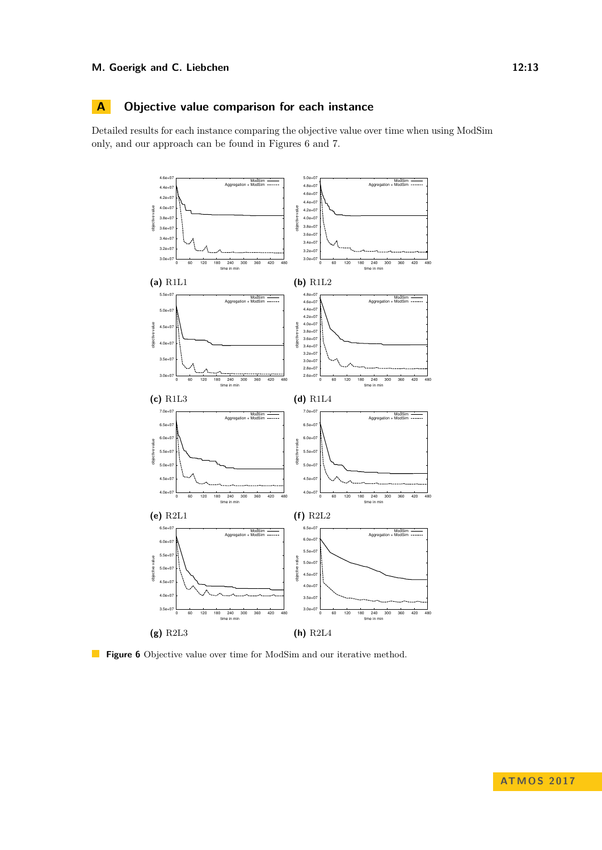## **M. Goerigk and C. Liebchen 22:13**

## **A Objective value comparison for each instance**

Detailed results for each instance comparing the objective value over time when using ModSim only, and our approach can be found in Figures [6](#page-12-0) and [7.](#page-13-1)

<span id="page-12-0"></span>

**Figure 6** Objective value over time for ModSim and our iterative method.